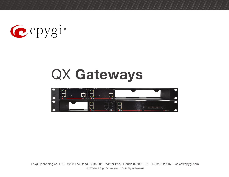

## QX **Gateways**

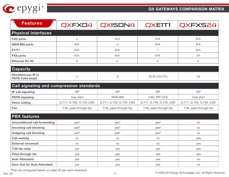

| <b>Features</b>                                      | QXFXO4 | QXISDN4        | QXE1T1          | QXFXS24        |  |
|------------------------------------------------------|--------|----------------|-----------------|----------------|--|
| <b>Physical interfaces</b>                           |        |                |                 |                |  |
| <b>FXO ports</b>                                     | 4      | N/A            | N/A             | N/A            |  |
| <b>ISDN BRI ports</b>                                | N/A    | $\overline{4}$ | N/A             | N/A            |  |
| E1/T1                                                | N/A    | N/A            |                 | N/A            |  |
| <b>FXS ports</b>                                     | N/A    | N/A            | N/A             | 24             |  |
| <b>Ethernet RJ-45</b>                                | 2      | 2              | 2               | $\overline{2}$ |  |
| <b>Capacity</b>                                      |        |                |                 |                |  |
| <b>Simultaneous IP to</b><br><b>PSTN Calls (max)</b> | 4      | 8              | 30 (E1)/24 (T1) | 24             |  |

| <b>Call signaling and compression standards</b> |                           |                           |                           |                           |  |
|-------------------------------------------------|---------------------------|---------------------------|---------------------------|---------------------------|--|
| <b>IP call signaling</b>                        | <b>SIP</b>                | <b>SIP</b>                | <b>SIP</b>                | <b>SIP</b>                |  |
| <b>PSTN</b> signaling                           | loop start                | <b>ISDN BRI</b>           | CAS, PRI CCS              | loop start                |  |
| <b>Voice coding</b>                             | G.711, G.726, G.729, iLBC | G.711, G.726, G.729, iLBC | G.711, G.726, G.729, iLBC | G.711, G.726, G.729, iLBC |  |
| $ $ Fax                                         | T.38, pass-through fax    | T.38, pass-through fax    | T.38, pass-through fax    | T.38, pass-through fax    |  |

| <b>PBX features</b>                  |      |      |      |     |  |
|--------------------------------------|------|------|------|-----|--|
| <b>Unconditional call forwarding</b> | yes* | yes* | yes* | no  |  |
| Incoming call blocking               | yes* | yes* | yes* | no  |  |
| <b>Outgoing call blocking</b>        | yes* | yes* | yes* | no  |  |
| <b>Call waiting</b>                  | no   | no   | no   | yes |  |
| <b>External voicemail</b>            | no   | no   | no   | yes |  |
| T.38 fax relay                       | yes  | yes  | yes  | yes |  |
| Pass-through fax                     | yes  | yes  | yes  | yes |  |
| <b>Auto Attendant</b>                | yes  | yes  | yes  | no  |  |
| <b>Zero-Out for Auto Attendant</b>   | yes  | yes  | yes  | no  |  |

**\***Can be configured based on caller ID per each extension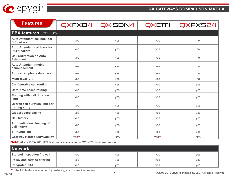

| <b>Features</b>                                            | QXFXO4 | QXISDN4 | QXE1T1 | QXFXS24 |
|------------------------------------------------------------|--------|---------|--------|---------|
| <b>PBX features</b> continued                              |        |         |        |         |
| <b>Auto Attendant call back for</b><br><b>SIP callers</b>  | yes    | yes     | yes    | no      |
| <b>Auto Attendant call back for</b><br><b>PSTN callers</b> | yes    | yes     | yes    | no      |
| <b>Call redirection on Auto</b><br><b>Attendant</b>        | yes    | yes     | yes    | no      |
| <b>Auto Attendant ringing</b><br>announcement              | yes    | yes     | yes    | no      |
| <b>Authorized phone database</b>                           | yes    | yes     | yes    | no      |
| <b>Multi-level IVR</b>                                     | yes    | yes     | yes    | no      |
| <b>Configurable call routing</b>                           | yes    | yes     | yes    | yes     |
| <b>Date/time based routing</b>                             | yes    | yes     | yes    | yes     |
| <b>Routing with call duration</b><br>limit                 | yes    | yes     | yes    | yes     |
| <b>Overall call duration limit per</b><br>routing entry    | yes    | yes     | yes    | yes     |
| <b>Global speed dialing</b>                                | yes    | yes     | yes    | yes     |
| <b>Call history</b>                                        | yes    | yes     | yes    | yes     |
| <b>Automatic downloading of</b><br>call history            | yes    | yes     | yes    | yes     |
| <b>SIP tunneling</b>                                       | yes    | yes     | yes    | yes     |
| <b>Gateway Hosted Survivability</b>                        | yes**  | N/A     | yes**  | N/A     |

**Note:** All QX50/QX200 PBX features are available on QXFXS24 in shared mode.

| Network                             |     |     |     |     |
|-------------------------------------|-----|-----|-----|-----|
| <b>Stateful inspection firewall</b> | ves | ves | ves | ves |
| <b>Policy and service filtering</b> | ves | ves | yes | ves |
| <b>Integrated NAT</b>               | ves | ves | yes | ves |

\*\* The HS feature is enabled by installing a software license key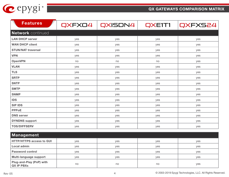

| <b>Features</b>           | QXFXO4 | QXISDN4 | QXE1T1 | QXFXS24 |
|---------------------------|--------|---------|--------|---------|
| <b>Network</b> continued  |        |         |        |         |
| <b>LAN DHCP server</b>    | yes    | yes     | yes    | yes     |
| <b>WAN DHCP client</b>    | yes    | yes     | yes    | yes     |
| <b>STUN/NAT traversal</b> | yes    | yes     | yes    | yes     |
| <b>VPN</b>                | yes    | yes     | yes    | yes     |
| <b>OpenVPN</b>            | no     | no      | no     | yes     |
| <b>VLAN</b>               | yes    | yes     | yes    | yes     |
| <b>TLS</b>                | yes    | yes     | yes    | yes     |
| <b>SRTP</b>               | yes    | yes     | yes    | yes     |
| <b>SNTP</b>               | yes    | yes     | yes    | yes     |
| <b>SMTP</b>               | yes    | yes     | yes    | yes     |
| <b>SNMP</b>               | yes    | yes     | yes    | yes     |
| <b>IDS</b>                | yes    | yes     | yes    | yes     |
| <b>SIP IDS</b>            | yes    | yes     | yes    | yes     |
| <b>PPPoE</b>              | yes    | yes     | yes    | yes     |
| <b>DNS</b> server         | yes    | yes     | yes    | yes     |
| <b>DYNDNS support</b>     | yes    | yes     | yes    | yes     |
| <b>TOS/DIFFSERV</b>       | yes    | yes     | yes    | yes     |
| Management                |        |         |        |         |

| <b>Management</b>                             |     |     |     |            |
|-----------------------------------------------|-----|-----|-----|------------|
| <b>HTTP/HTTPS access to GUI</b>               | yes | yes | yes | ves        |
| Local admin                                   | yes | yes | ves | ves        |
| <b>Password control</b>                       | ves | yes | yes | <b>ves</b> |
| Multi-language support                        | ves | yes | ves | ves        |
| Plug-and-Play (PnP) with<br><b>QX IP PBXs</b> | no  | no  | no  | yes        |